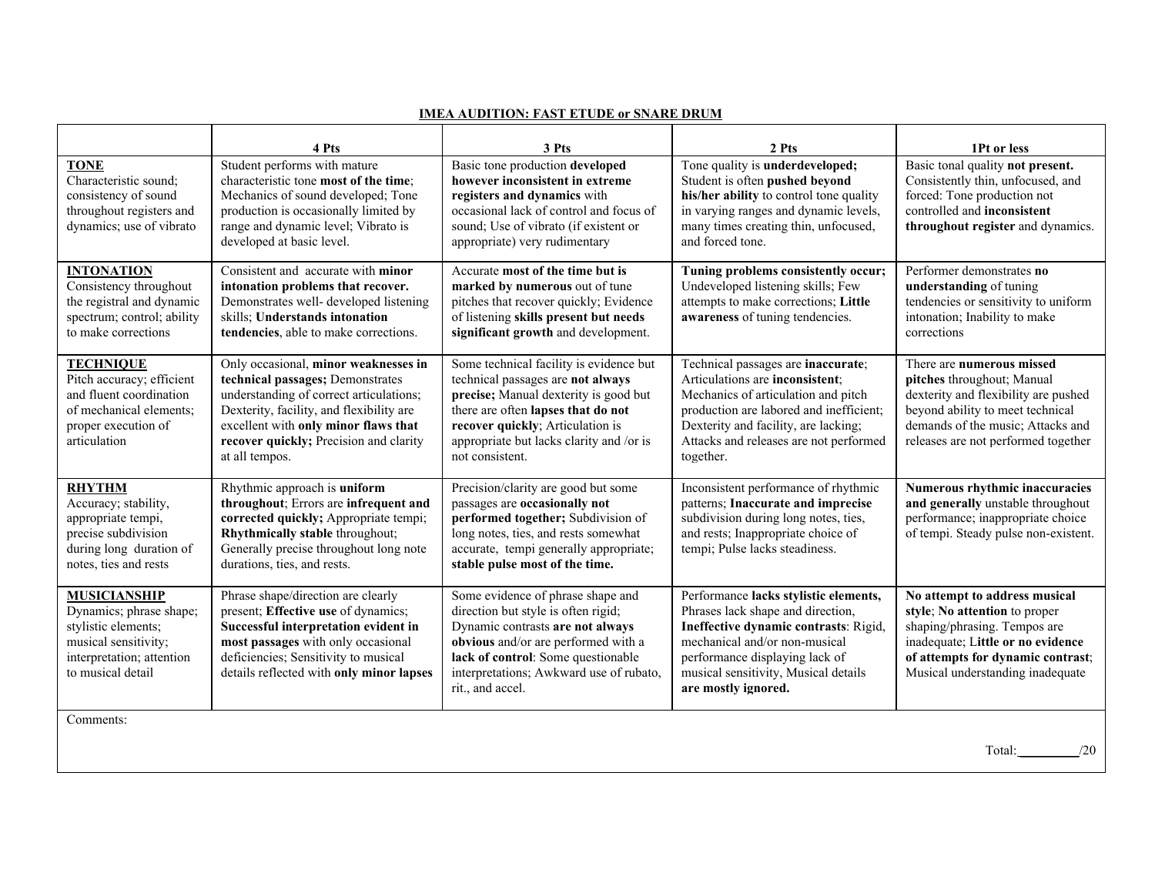|                                                                                                                                                 | 4 Pts                                                                                                                                                                                                                                                               | 3 Pts                                                                                                                                                                                                                                                          | 2 Pts                                                                                                                                                                                                                                                  | 1Pt or less                                                                                                                                                                                                     |
|-------------------------------------------------------------------------------------------------------------------------------------------------|---------------------------------------------------------------------------------------------------------------------------------------------------------------------------------------------------------------------------------------------------------------------|----------------------------------------------------------------------------------------------------------------------------------------------------------------------------------------------------------------------------------------------------------------|--------------------------------------------------------------------------------------------------------------------------------------------------------------------------------------------------------------------------------------------------------|-----------------------------------------------------------------------------------------------------------------------------------------------------------------------------------------------------------------|
| <b>TONE</b><br>Characteristic sound;<br>consistency of sound<br>throughout registers and<br>dynamics; use of vibrato                            | Student performs with mature<br>characteristic tone most of the time;<br>Mechanics of sound developed; Tone<br>production is occasionally limited by<br>range and dynamic level; Vibrato is<br>developed at basic level.                                            | Basic tone production developed<br>however inconsistent in extreme<br>registers and dynamics with<br>occasional lack of control and focus of<br>sound; Use of vibrato (if existent or<br>appropriate) very rudimentary                                         | Tone quality is underdeveloped;<br>Student is often pushed beyond<br>his/her ability to control tone quality<br>in varying ranges and dynamic levels,<br>many times creating thin, unfocused,<br>and forced tone.                                      | Basic tonal quality not present.<br>Consistently thin, unfocused, and<br>forced: Tone production not<br>controlled and inconsistent<br>throughout register and dynamics.                                        |
| <b>INTONATION</b><br>Consistency throughout<br>the registral and dynamic<br>spectrum; control; ability<br>to make corrections                   | Consistent and accurate with minor<br>intonation problems that recover.<br>Demonstrates well- developed listening<br>skills; Understands intonation<br>tendencies, able to make corrections.                                                                        | Accurate most of the time but is<br>marked by numerous out of tune<br>pitches that recover quickly; Evidence<br>of listening skills present but needs<br>significant growth and development.                                                                   | Tuning problems consistently occur;<br>Undeveloped listening skills; Few<br>attempts to make corrections; Little<br>awareness of tuning tendencies.                                                                                                    | Performer demonstrates no<br>understanding of tuning<br>tendencies or sensitivity to uniform<br>intonation; Inability to make<br>corrections                                                                    |
| <b>TECHNIQUE</b><br>Pitch accuracy; efficient<br>and fluent coordination<br>of mechanical elements;<br>proper execution of<br>articulation      | Only occasional, minor weaknesses in<br>technical passages; Demonstrates<br>understanding of correct articulations;<br>Dexterity, facility, and flexibility are<br>excellent with only minor flaws that<br>recover quickly; Precision and clarity<br>at all tempos. | Some technical facility is evidence but<br>technical passages are not always<br>precise; Manual dexterity is good but<br>there are often lapses that do not<br>recover quickly; Articulation is<br>appropriate but lacks clarity and /or is<br>not consistent. | Technical passages are inaccurate;<br>Articulations are inconsistent;<br>Mechanics of articulation and pitch<br>production are labored and inefficient;<br>Dexterity and facility, are lacking;<br>Attacks and releases are not performed<br>together. | There are numerous missed<br>pitches throughout; Manual<br>dexterity and flexibility are pushed<br>beyond ability to meet technical<br>demands of the music; Attacks and<br>releases are not performed together |
| <b>RHYTHM</b><br>Accuracy; stability,<br>appropriate tempi,<br>precise subdivision<br>during long duration of<br>notes, ties and rests          | Rhythmic approach is uniform<br>throughout; Errors are infrequent and<br>corrected quickly; Appropriate tempi;<br>Rhythmically stable throughout;<br>Generally precise throughout long note<br>durations, ties, and rests.                                          | Precision/clarity are good but some<br>passages are occasionally not<br>performed together; Subdivision of<br>long notes, ties, and rests somewhat<br>accurate, tempi generally appropriate;<br>stable pulse most of the time.                                 | Inconsistent performance of rhythmic<br>patterns; Inaccurate and imprecise<br>subdivision during long notes, ties,<br>and rests; Inappropriate choice of<br>tempi; Pulse lacks steadiness.                                                             | Numerous rhythmic inaccuracies<br>and generally unstable throughout<br>performance; inappropriate choice<br>of tempi. Steady pulse non-existent.                                                                |
| <b>MUSICIANSHIP</b><br>Dynamics; phrase shape;<br>stylistic elements;<br>musical sensitivity;<br>interpretation; attention<br>to musical detail | Phrase shape/direction are clearly<br>present; Effective use of dynamics;<br>Successful interpretation evident in<br>most passages with only occasional<br>deficiencies; Sensitivity to musical<br>details reflected with only minor lapses                         | Some evidence of phrase shape and<br>direction but style is often rigid;<br>Dynamic contrasts are not always<br>obvious and/or are performed with a<br>lack of control: Some questionable<br>interpretations; Awkward use of rubato,<br>rit., and accel.       | Performance lacks stylistic elements,<br>Phrases lack shape and direction,<br>Ineffective dynamic contrasts: Rigid,<br>mechanical and/or non-musical<br>performance displaying lack of<br>musical sensitivity, Musical details<br>are mostly ignored.  | No attempt to address musical<br>style; No attention to proper<br>shaping/phrasing. Tempos are<br>inadequate; Little or no evidence<br>of attempts for dynamic contrast;<br>Musical understanding inadequate    |
| Comments:                                                                                                                                       |                                                                                                                                                                                                                                                                     |                                                                                                                                                                                                                                                                |                                                                                                                                                                                                                                                        |                                                                                                                                                                                                                 |
| Total:<br>/20                                                                                                                                   |                                                                                                                                                                                                                                                                     |                                                                                                                                                                                                                                                                |                                                                                                                                                                                                                                                        |                                                                                                                                                                                                                 |

## **IMEA AUDITION: FAST ETUDE or SNARE DRUM**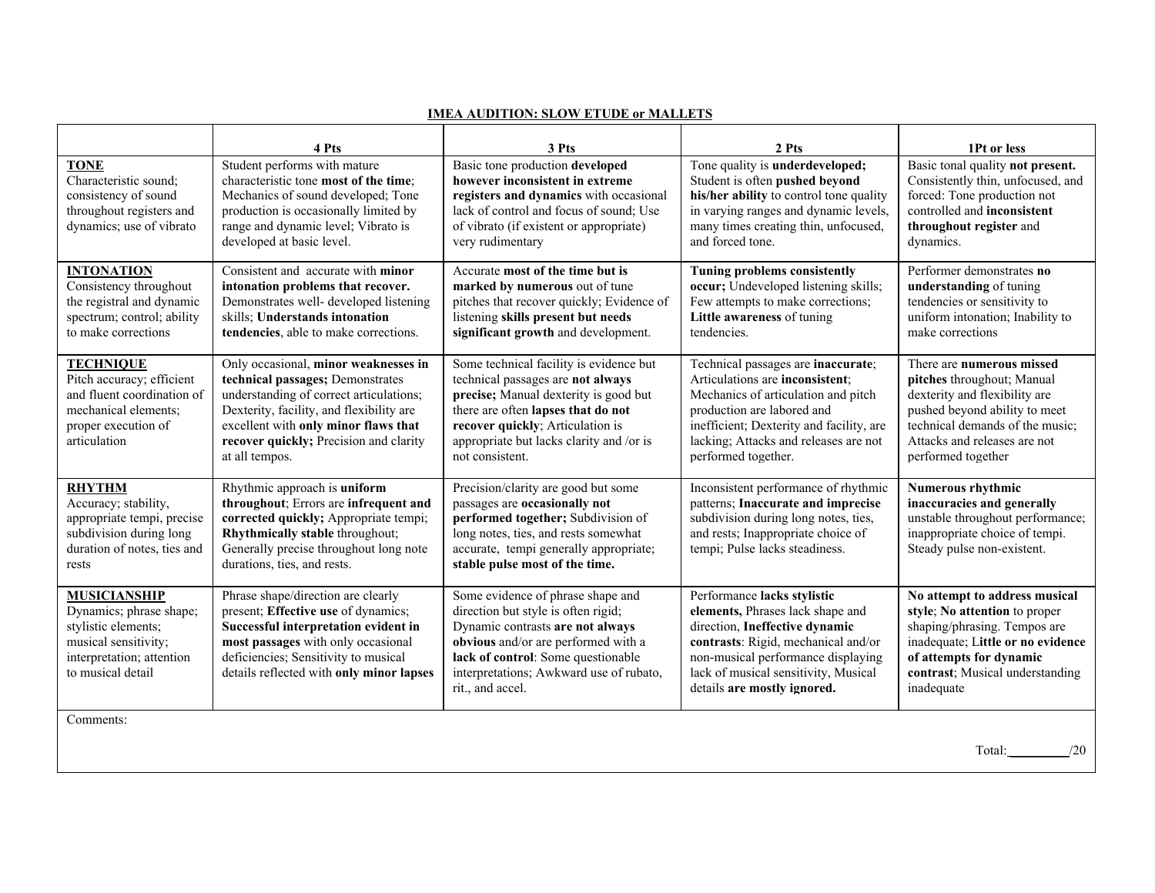| <b>TONE</b><br>Characteristic sound;<br>consistency of sound<br>throughout registers and<br>dynamics; use of vibrato                            | 4 Pts<br>Student performs with mature<br>characteristic tone most of the time;<br>Mechanics of sound developed; Tone<br>production is occasionally limited by<br>range and dynamic level; Vibrato is<br>developed at basic level.                                   | 3 Pts<br>Basic tone production developed<br>however inconsistent in extreme<br>registers and dynamics with occasional<br>lack of control and focus of sound; Use<br>of vibrato (if existent or appropriate)<br>very rudimentary                                | 2 Pts<br>Tone quality is underdeveloped;<br>Student is often pushed beyond<br>his/her ability to control tone quality<br>in varying ranges and dynamic levels,<br>many times creating thin, unfocused,<br>and forced tone.                             | 1Pt or less<br>Basic tonal quality not present.<br>Consistently thin, unfocused, and<br>forced: Tone production not<br>controlled and inconsistent<br>throughout register and<br>dynamics.                         |
|-------------------------------------------------------------------------------------------------------------------------------------------------|---------------------------------------------------------------------------------------------------------------------------------------------------------------------------------------------------------------------------------------------------------------------|----------------------------------------------------------------------------------------------------------------------------------------------------------------------------------------------------------------------------------------------------------------|--------------------------------------------------------------------------------------------------------------------------------------------------------------------------------------------------------------------------------------------------------|--------------------------------------------------------------------------------------------------------------------------------------------------------------------------------------------------------------------|
| <b>INTONATION</b><br>Consistency throughout<br>the registral and dynamic<br>spectrum; control; ability<br>to make corrections                   | Consistent and accurate with minor<br>intonation problems that recover.<br>Demonstrates well- developed listening<br>skills; Understands intonation<br>tendencies, able to make corrections.                                                                        | Accurate most of the time but is<br>marked by numerous out of tune<br>pitches that recover quickly; Evidence of<br>listening skills present but needs<br>significant growth and development.                                                                   | Tuning problems consistently<br>occur; Undeveloped listening skills;<br>Few attempts to make corrections;<br>Little awareness of tuning<br>tendencies.                                                                                                 | Performer demonstrates no<br>understanding of tuning<br>tendencies or sensitivity to<br>uniform intonation; Inability to<br>make corrections                                                                       |
| <b>TECHNIQUE</b><br>Pitch accuracy; efficient<br>and fluent coordination of<br>mechanical elements;<br>proper execution of<br>articulation      | Only occasional, minor weaknesses in<br>technical passages; Demonstrates<br>understanding of correct articulations;<br>Dexterity, facility, and flexibility are<br>excellent with only minor flaws that<br>recover quickly; Precision and clarity<br>at all tempos. | Some technical facility is evidence but<br>technical passages are not always<br>precise; Manual dexterity is good but<br>there are often lapses that do not<br>recover quickly; Articulation is<br>appropriate but lacks clarity and /or is<br>not consistent. | Technical passages are inaccurate;<br>Articulations are inconsistent;<br>Mechanics of articulation and pitch<br>production are labored and<br>inefficient; Dexterity and facility, are<br>lacking; Attacks and releases are not<br>performed together. | There are numerous missed<br>pitches throughout; Manual<br>dexterity and flexibility are<br>pushed beyond ability to meet<br>technical demands of the music;<br>Attacks and releases are not<br>performed together |
| <b>RHYTHM</b><br>Accuracy; stability,<br>appropriate tempi, precise<br>subdivision during long<br>duration of notes, ties and<br>rests          | Rhythmic approach is uniform<br>throughout; Errors are infrequent and<br>corrected quickly; Appropriate tempi;<br>Rhythmically stable throughout;<br>Generally precise throughout long note<br>durations, ties, and rests.                                          | Precision/clarity are good but some<br>passages are occasionally not<br>performed together; Subdivision of<br>long notes, ties, and rests somewhat<br>accurate, tempi generally appropriate;<br>stable pulse most of the time.                                 | Inconsistent performance of rhythmic<br>patterns; Inaccurate and imprecise<br>subdivision during long notes, ties,<br>and rests; Inappropriate choice of<br>tempi; Pulse lacks steadiness.                                                             | <b>Numerous rhythmic</b><br>inaccuracies and generally<br>unstable throughout performance;<br>inappropriate choice of tempi.<br>Steady pulse non-existent.                                                         |
| <b>MUSICIANSHIP</b><br>Dynamics; phrase shape;<br>stylistic elements;<br>musical sensitivity;<br>interpretation; attention<br>to musical detail | Phrase shape/direction are clearly<br>present; Effective use of dynamics;<br>Successful interpretation evident in<br>most passages with only occasional<br>deficiencies; Sensitivity to musical<br>details reflected with only minor lapses                         | Some evidence of phrase shape and<br>direction but style is often rigid;<br>Dynamic contrasts are not always<br>obvious and/or are performed with a<br>lack of control: Some questionable<br>interpretations; Awkward use of rubato,<br>rit., and accel.       | Performance lacks stylistic<br>elements, Phrases lack shape and<br>direction, Ineffective dynamic<br>contrasts: Rigid, mechanical and/or<br>non-musical performance displaying<br>lack of musical sensitivity, Musical<br>details are mostly ignored.  | No attempt to address musical<br>style; No attention to proper<br>shaping/phrasing. Tempos are<br>inadequate; Little or no evidence<br>of attempts for dynamic<br>contrast; Musical understanding<br>inadequate    |
| Comments:                                                                                                                                       |                                                                                                                                                                                                                                                                     |                                                                                                                                                                                                                                                                |                                                                                                                                                                                                                                                        | /20<br>Total:                                                                                                                                                                                                      |

## **IMEA AUDITION: SLOW ETUDE or MALLETS**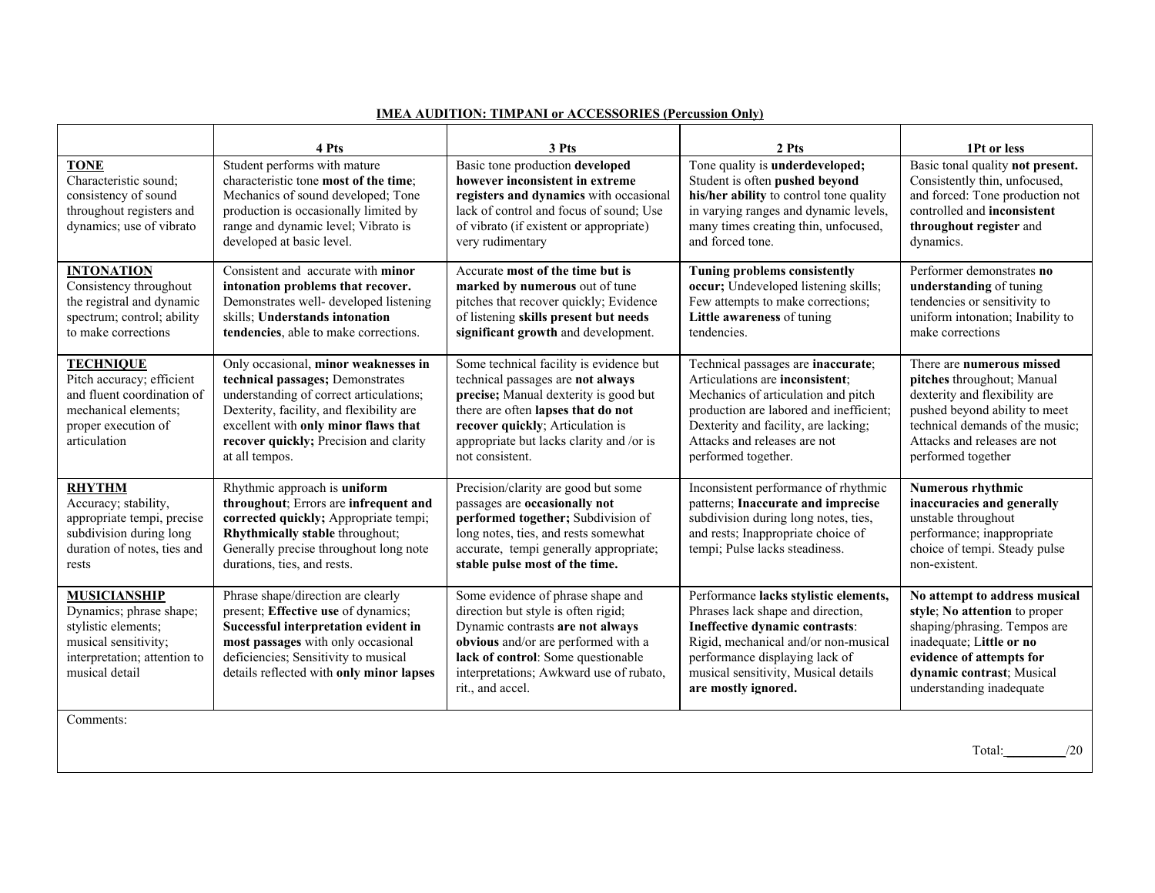|                                                                                                                                                 | 4 Pts                                                                                                                                                                                                                                                               | 3 Pts                                                                                                                                                                                                                                                          | 2 Pts                                                                                                                                                                                                                                                  | 1Pt or less                                                                                                                                                                                                        |
|-------------------------------------------------------------------------------------------------------------------------------------------------|---------------------------------------------------------------------------------------------------------------------------------------------------------------------------------------------------------------------------------------------------------------------|----------------------------------------------------------------------------------------------------------------------------------------------------------------------------------------------------------------------------------------------------------------|--------------------------------------------------------------------------------------------------------------------------------------------------------------------------------------------------------------------------------------------------------|--------------------------------------------------------------------------------------------------------------------------------------------------------------------------------------------------------------------|
| <b>TONE</b><br>Characteristic sound;<br>consistency of sound<br>throughout registers and<br>dynamics; use of vibrato                            | Student performs with mature<br>characteristic tone most of the time;<br>Mechanics of sound developed; Tone<br>production is occasionally limited by<br>range and dynamic level; Vibrato is<br>developed at basic level.                                            | Basic tone production developed<br>however inconsistent in extreme<br>registers and dynamics with occasional<br>lack of control and focus of sound; Use<br>of vibrato (if existent or appropriate)<br>very rudimentary                                         | Tone quality is <b>underdeveloped</b> ;<br>Student is often pushed beyond<br>his/her ability to control tone quality<br>in varying ranges and dynamic levels,<br>many times creating thin, unfocused,<br>and forced tone.                              | Basic tonal quality not present.<br>Consistently thin, unfocused,<br>and forced: Tone production not<br>controlled and inconsistent<br>throughout register and<br>dynamics.                                        |
| <b>INTONATION</b><br>Consistency throughout<br>the registral and dynamic<br>spectrum; control; ability<br>to make corrections                   | Consistent and accurate with minor<br>intonation problems that recover.<br>Demonstrates well- developed listening<br>skills; Understands intonation<br>tendencies, able to make corrections.                                                                        | Accurate most of the time but is<br>marked by numerous out of tune<br>pitches that recover quickly; Evidence<br>of listening skills present but needs<br>significant growth and development.                                                                   | <b>Tuning problems consistently</b><br>occur; Undeveloped listening skills;<br>Few attempts to make corrections;<br>Little awareness of tuning<br>tendencies.                                                                                          | Performer demonstrates no<br>understanding of tuning<br>tendencies or sensitivity to<br>uniform intonation; Inability to<br>make corrections                                                                       |
| <b>TECHNIQUE</b><br>Pitch accuracy; efficient<br>and fluent coordination of<br>mechanical elements;<br>proper execution of<br>articulation      | Only occasional, minor weaknesses in<br>technical passages; Demonstrates<br>understanding of correct articulations;<br>Dexterity, facility, and flexibility are<br>excellent with only minor flaws that<br>recover quickly; Precision and clarity<br>at all tempos. | Some technical facility is evidence but<br>technical passages are not always<br>precise; Manual dexterity is good but<br>there are often lapses that do not<br>recover quickly; Articulation is<br>appropriate but lacks clarity and /or is<br>not consistent. | Technical passages are inaccurate;<br>Articulations are inconsistent;<br>Mechanics of articulation and pitch<br>production are labored and inefficient;<br>Dexterity and facility, are lacking;<br>Attacks and releases are not<br>performed together. | There are numerous missed<br>pitches throughout; Manual<br>dexterity and flexibility are<br>pushed beyond ability to meet<br>technical demands of the music:<br>Attacks and releases are not<br>performed together |
| <b>RHYTHM</b><br>Accuracy; stability,<br>appropriate tempi, precise<br>subdivision during long<br>duration of notes, ties and<br>rests          | Rhythmic approach is uniform<br>throughout; Errors are infrequent and<br>corrected quickly; Appropriate tempi;<br>Rhythmically stable throughout;<br>Generally precise throughout long note<br>durations, ties, and rests.                                          | Precision/clarity are good but some<br>passages are occasionally not<br>performed together; Subdivision of<br>long notes, ties, and rests somewhat<br>accurate, tempi generally appropriate;<br>stable pulse most of the time.                                 | Inconsistent performance of rhythmic<br>patterns; Inaccurate and imprecise<br>subdivision during long notes, ties,<br>and rests; Inappropriate choice of<br>tempi; Pulse lacks steadiness.                                                             | Numerous rhythmic<br>inaccuracies and generally<br>unstable throughout<br>performance; inappropriate<br>choice of tempi. Steady pulse<br>non-existent.                                                             |
| <b>MUSICIANSHIP</b><br>Dynamics; phrase shape;<br>stylistic elements;<br>musical sensitivity;<br>interpretation; attention to<br>musical detail | Phrase shape/direction are clearly<br>present; Effective use of dynamics;<br>Successful interpretation evident in<br>most passages with only occasional<br>deficiencies; Sensitivity to musical<br>details reflected with only minor lapses                         | Some evidence of phrase shape and<br>direction but style is often rigid;<br>Dynamic contrasts are not always<br>obvious and/or are performed with a<br>lack of control: Some questionable<br>interpretations; Awkward use of rubato,<br>rit., and accel.       | Performance lacks stylistic elements,<br>Phrases lack shape and direction,<br>Ineffective dynamic contrasts:<br>Rigid, mechanical and/or non-musical<br>performance displaying lack of<br>musical sensitivity, Musical details<br>are mostly ignored.  | No attempt to address musical<br>style; No attention to proper<br>shaping/phrasing. Tempos are<br>inadequate; Little or no<br>evidence of attempts for<br>dynamic contrast; Musical<br>understanding inadequate    |
| Comments:                                                                                                                                       |                                                                                                                                                                                                                                                                     |                                                                                                                                                                                                                                                                |                                                                                                                                                                                                                                                        |                                                                                                                                                                                                                    |

## **IMEA AUDITION: TIMPANI or ACCESSORIES (Percussion Only)**

Total: \_\_\_\_\_\_\_\_\_/20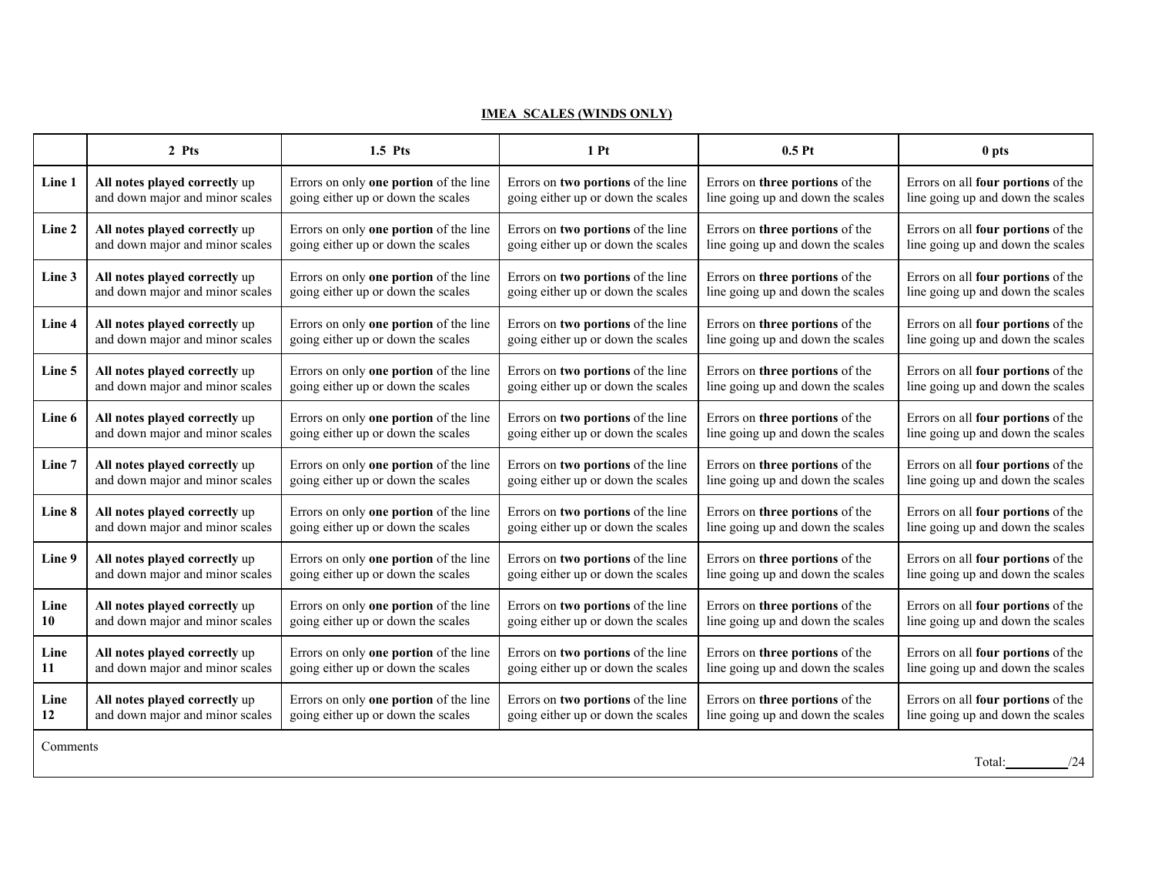## **IMEA SCALES (WINDS ONLY)**

|                           | 2 Pts                           | $1.5$ Pts                                     | 1P <sub>t</sub>                    | 0.5P <sub>t</sub>                 | 0 pts                              |
|---------------------------|---------------------------------|-----------------------------------------------|------------------------------------|-----------------------------------|------------------------------------|
| Line 1                    | All notes played correctly up   | Errors on only one portion of the line        | Errors on two portions of the line | Errors on three portions of the   | Errors on all four portions of the |
|                           | and down major and minor scales | going either up or down the scales            | going either up or down the scales | line going up and down the scales | line going up and down the scales  |
| Line 2                    | All notes played correctly up   | Errors on only <b>one portion</b> of the line | Errors on two portions of the line | Errors on three portions of the   | Errors on all four portions of the |
|                           | and down major and minor scales | going either up or down the scales            | going either up or down the scales | line going up and down the scales | line going up and down the scales  |
| Line 3                    | All notes played correctly up   | Errors on only <b>one portion</b> of the line | Errors on two portions of the line | Errors on three portions of the   | Errors on all four portions of the |
|                           | and down major and minor scales | going either up or down the scales            | going either up or down the scales | line going up and down the scales | line going up and down the scales  |
| Line 4                    | All notes played correctly up   | Errors on only <b>one portion</b> of the line | Errors on two portions of the line | Errors on three portions of the   | Errors on all four portions of the |
|                           | and down major and minor scales | going either up or down the scales            | going either up or down the scales | line going up and down the scales | line going up and down the scales  |
| Line 5                    | All notes played correctly up   | Errors on only one portion of the line        | Errors on two portions of the line | Errors on three portions of the   | Errors on all four portions of the |
|                           | and down major and minor scales | going either up or down the scales            | going either up or down the scales | line going up and down the scales | line going up and down the scales  |
| Line 6                    | All notes played correctly up   | Errors on only <b>one portion</b> of the line | Errors on two portions of the line | Errors on three portions of the   | Errors on all four portions of the |
|                           | and down major and minor scales | going either up or down the scales            | going either up or down the scales | line going up and down the scales | line going up and down the scales  |
| Line 7                    | All notes played correctly up   | Errors on only <b>one portion</b> of the line | Errors on two portions of the line | Errors on three portions of the   | Errors on all four portions of the |
|                           | and down major and minor scales | going either up or down the scales            | going either up or down the scales | line going up and down the scales | line going up and down the scales  |
| Line 8                    | All notes played correctly up   | Errors on only <b>one portion</b> of the line | Errors on two portions of the line | Errors on three portions of the   | Errors on all four portions of the |
|                           | and down major and minor scales | going either up or down the scales            | going either up or down the scales | line going up and down the scales | line going up and down the scales  |
| Line 9                    | All notes played correctly up   | Errors on only one portion of the line        | Errors on two portions of the line | Errors on three portions of the   | Errors on all four portions of the |
|                           | and down major and minor scales | going either up or down the scales            | going either up or down the scales | line going up and down the scales | line going up and down the scales  |
| Line                      | All notes played correctly up   | Errors on only one portion of the line        | Errors on two portions of the line | Errors on three portions of the   | Errors on all four portions of the |
| 10                        | and down major and minor scales | going either up or down the scales            | going either up or down the scales | line going up and down the scales | line going up and down the scales  |
| Line                      | All notes played correctly up   | Errors on only one portion of the line        | Errors on two portions of the line | Errors on three portions of the   | Errors on all four portions of the |
| 11                        | and down major and minor scales | going either up or down the scales            | going either up or down the scales | line going up and down the scales | line going up and down the scales  |
| Line                      | All notes played correctly up   | Errors on only <b>one portion</b> of the line | Errors on two portions of the line | Errors on three portions of the   | Errors on all four portions of the |
| 12                        | and down major and minor scales | going either up or down the scales            | going either up or down the scales | line going up and down the scales | line going up and down the scales  |
| Comments<br>/24<br>Total: |                                 |                                               |                                    |                                   |                                    |